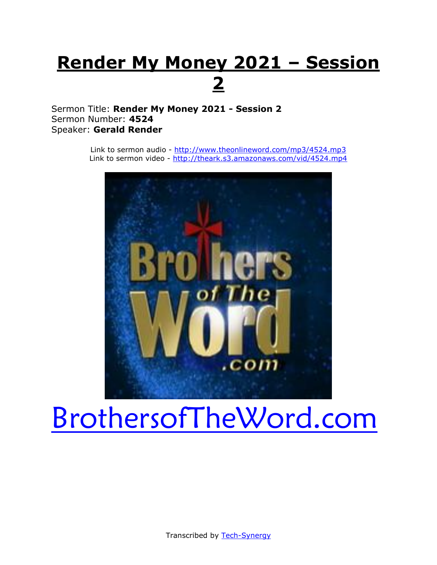## **Render My Money 2021 – Session 2**

Sermon Title: **Render My Money 2021 - Session 2** Sermon Number: **4524** Speaker: **Gerald Render**

> Link to sermon audio - <http://www.theonlineword.com/mp3/4524.mp3> Link to sermon video - <http://theark.s3.amazonaws.com/vid/4524.mp4>



# [BrothersofTheWord.com](http://www.brothersoftheword.com/)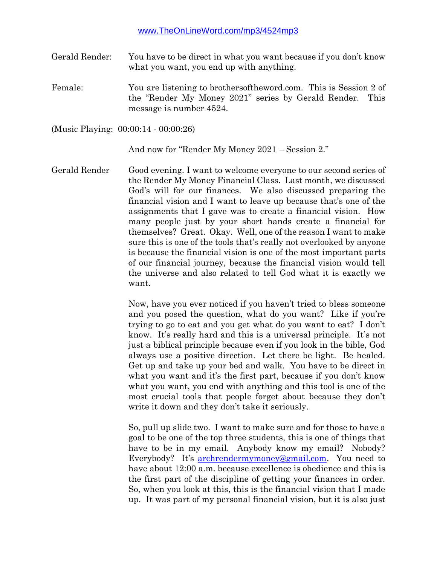Gerald Render: You have to be direct in what you want because if you don't know what you want, you end up with anything.

Female: You are listening to brothersoftheword.com. This is Session 2 of the "Render My Money 2021" series by Gerald Render. This message is number 4524.

(Music Playing: 00:00:14 - 00:00:26)

And now for "Render My Money 2021 – Session 2."

Gerald Render Good evening. I want to welcome everyone to our second series of the Render My Money Financial Class. Last month, we discussed God's will for our finances. We also discussed preparing the financial vision and I want to leave up because that's one of the assignments that I gave was to create a financial vision. How many people just by your short hands create a financial for themselves? Great. Okay. Well, one of the reason I want to make sure this is one of the tools that's really not overlooked by anyone is because the financial vision is one of the most important parts of our financial journey, because the financial vision would tell the universe and also related to tell God what it is exactly we want.

> Now, have you ever noticed if you haven't tried to bless someone and you posed the question, what do you want? Like if you're trying to go to eat and you get what do you want to eat? I don't know. It's really hard and this is a universal principle. It's not just a biblical principle because even if you look in the bible, God always use a positive direction. Let there be light. Be healed. Get up and take up your bed and walk. You have to be direct in what you want and it's the first part, because if you don't know what you want, you end with anything and this tool is one of the most crucial tools that people forget about because they don't write it down and they don't take it seriously.

> So, pull up slide two. I want to make sure and for those to have a goal to be one of the top three students, this is one of things that have to be in my email. Anybody know my email? Nobody? Everybody? It's [archrendermymoney@gmail.com.](mailto:archrendermymoney@gmail.com) You need to have about 12:00 a.m. because excellence is obedience and this is the first part of the discipline of getting your finances in order. So, when you look at this, this is the financial vision that I made up. It was part of my personal financial vision, but it is also just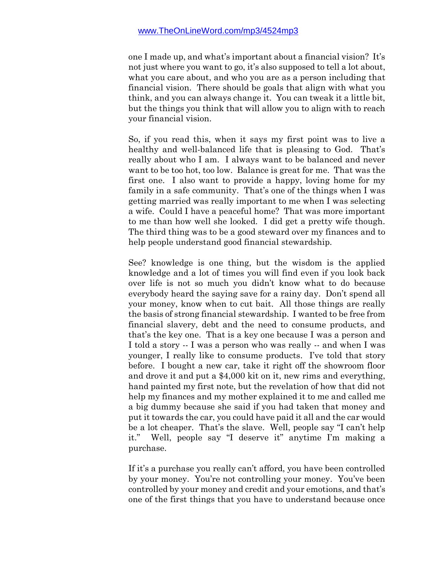one I made up, and what's important about a financial vision? It's not just where you want to go, it's also supposed to tell a lot about, what you care about, and who you are as a person including that financial vision. There should be goals that align with what you think, and you can always change it. You can tweak it a little bit, but the things you think that will allow you to align with to reach your financial vision.

So, if you read this, when it says my first point was to live a healthy and well-balanced life that is pleasing to God. That's really about who I am. I always want to be balanced and never want to be too hot, too low. Balance is great for me. That was the first one. I also want to provide a happy, loving home for my family in a safe community. That's one of the things when I was getting married was really important to me when I was selecting a wife. Could I have a peaceful home? That was more important to me than how well she looked. I did get a pretty wife though. The third thing was to be a good steward over my finances and to help people understand good financial stewardship.

See? knowledge is one thing, but the wisdom is the applied knowledge and a lot of times you will find even if you look back over life is not so much you didn't know what to do because everybody heard the saying save for a rainy day. Don't spend all your money, know when to cut bait. All those things are really the basis of strong financial stewardship. I wanted to be free from financial slavery, debt and the need to consume products, and that's the key one. That is a key one because I was a person and I told a story -- I was a person who was really -- and when I was younger, I really like to consume products. I've told that story before. I bought a new car, take it right off the showroom floor and drove it and put a \$4,000 kit on it, new rims and everything, hand painted my first note, but the revelation of how that did not help my finances and my mother explained it to me and called me a big dummy because she said if you had taken that money and put it towards the car, you could have paid it all and the car would be a lot cheaper. That's the slave. Well, people say "I can't help it." Well, people say "I deserve it" anytime I'm making a purchase.

If it's a purchase you really can't afford, you have been controlled by your money. You're not controlling your money. You've been controlled by your money and credit and your emotions, and that's one of the first things that you have to understand because once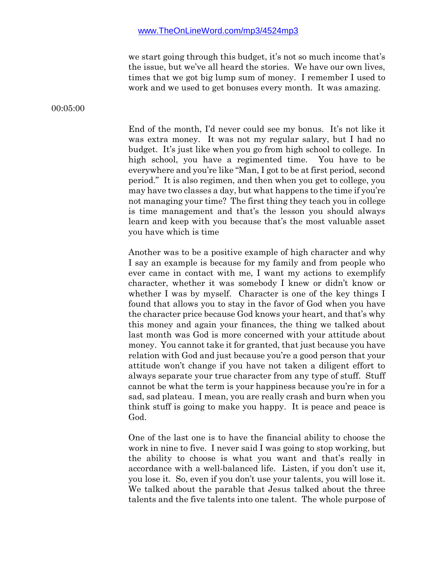we start going through this budget, it's not so much income that's the issue, but we've all heard the stories. We have our own lives, times that we got big lump sum of money. I remember I used to work and we used to get bonuses every month. It was amazing.

00:05:00

End of the month, I'd never could see my bonus. It's not like it was extra money. It was not my regular salary, but I had no budget. It's just like when you go from high school to college. In high school, you have a regimented time. You have to be everywhere and you're like "Man, I got to be at first period, second period." It is also regimen, and then when you get to college, you may have two classes a day, but what happens to the time if you're not managing your time? The first thing they teach you in college is time management and that's the lesson you should always learn and keep with you because that's the most valuable asset you have which is time

Another was to be a positive example of high character and why I say an example is because for my family and from people who ever came in contact with me, I want my actions to exemplify character, whether it was somebody I knew or didn't know or whether I was by myself. Character is one of the key things I found that allows you to stay in the favor of God when you have the character price because God knows your heart, and that's why this money and again your finances, the thing we talked about last month was God is more concerned with your attitude about money. You cannot take it for granted, that just because you have relation with God and just because you're a good person that your attitude won't change if you have not taken a diligent effort to always separate your true character from any type of stuff. Stuff cannot be what the term is your happiness because you're in for a sad, sad plateau. I mean, you are really crash and burn when you think stuff is going to make you happy. It is peace and peace is God.

One of the last one is to have the financial ability to choose the work in nine to five. I never said I was going to stop working, but the ability to choose is what you want and that's really in accordance with a well-balanced life. Listen, if you don't use it, you lose it. So, even if you don't use your talents, you will lose it. We talked about the parable that Jesus talked about the three talents and the five talents into one talent. The whole purpose of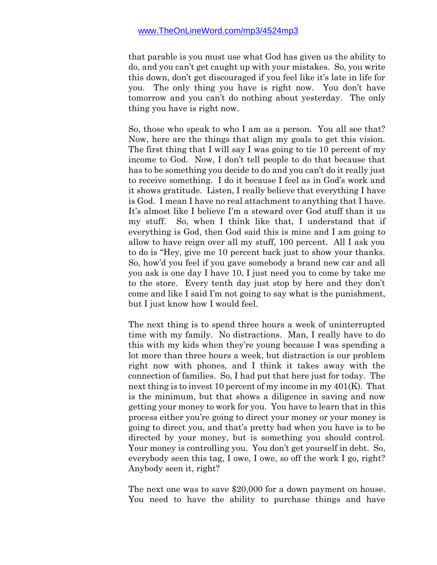that parable is you must use what God has given us the ability to do, and you can't get caught up with your mistakes. So, you write this down, don't get discouraged if you feel like it's late in life for you. The only thing you have is right now. You don't have tomorrow and you can't do nothing about yesterday. The only thing you have is right now.

So, those who speak to who I am as a person. You all see that? Now, here are the things that align my goals to get this vision. The first thing that I will say I was going to tie 10 percent of my income to God. Now, I don't tell people to do that because that has to be something you decide to do and you can't do it really just to receive something. I do it because I feel as in God's work and it shows gratitude. Listen, I really believe that everything I have is God. I mean I have no real attachment to anything that I have. It's almost like I believe I'm a steward over God stuff than it us my stuff. So, when I think like that, I understand that if everything is God, then God said this is mine and I am going to allow to have reign over all my stuff, 100 percent. All I ask you to do is "Hey, give me 10 percent back just to show your thanks. So, how'd you feel if you gave somebody a brand new car and all you ask is one day I have 10, I just need you to come by take me to the store. Every tenth day just stop by here and they don't come and like I said I'm not going to say what is the punishment, but I just know how I would feel.

The next thing is to spend three hours a week of uninterrupted time with my family. No distractions. Man, I really have to do this with my kids when they're young because I was spending a lot more than three hours a week, but distraction is our problem right now with phones, and I think it takes away with the connection of families. So, I had put that here just for today. The next thing is to invest 10 percent of my income in my 401(K). That is the minimum, but that shows a diligence in saving and now getting your money to work for you. You have to learn that in this process either you're going to direct your money or your money is going to direct you, and that's pretty bad when you have is to be directed by your money, but is something you should control. Your money is controlling you. You don't get yourself in debt. So, everybody seen this tag, I owe, I owe, so off the work I go, right? Anybody seen it, right?

The next one was to save \$20,000 for a down payment on house. You need to have the ability to purchase things and have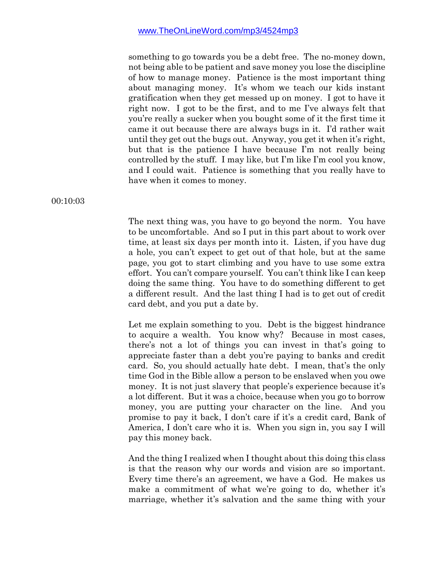something to go towards you be a debt free. The no-money down, not being able to be patient and save money you lose the discipline of how to manage money. Patience is the most important thing about managing money. It's whom we teach our kids instant gratification when they get messed up on money. I got to have it right now. I got to be the first, and to me I've always felt that you're really a sucker when you bought some of it the first time it came it out because there are always bugs in it. I'd rather wait until they get out the bugs out. Anyway, you get it when it's right, but that is the patience I have because I'm not really being controlled by the stuff. I may like, but I'm like I'm cool you know, and I could wait. Patience is something that you really have to have when it comes to money.

00:10:03

The next thing was, you have to go beyond the norm. You have to be uncomfortable. And so I put in this part about to work over time, at least six days per month into it. Listen, if you have dug a hole, you can't expect to get out of that hole, but at the same page, you got to start climbing and you have to use some extra effort. You can't compare yourself. You can't think like I can keep doing the same thing. You have to do something different to get a different result. And the last thing I had is to get out of credit card debt, and you put a date by.

Let me explain something to you. Debt is the biggest hindrance to acquire a wealth. You know why? Because in most cases, there's not a lot of things you can invest in that's going to appreciate faster than a debt you're paying to banks and credit card. So, you should actually hate debt. I mean, that's the only time God in the Bible allow a person to be enslaved when you owe money. It is not just slavery that people's experience because it's a lot different. But it was a choice, because when you go to borrow money, you are putting your character on the line. And you promise to pay it back, I don't care if it's a credit card, Bank of America, I don't care who it is. When you sign in, you say I will pay this money back.

And the thing I realized when I thought about this doing this class is that the reason why our words and vision are so important. Every time there's an agreement, we have a God. He makes us make a commitment of what we're going to do, whether it's marriage, whether it's salvation and the same thing with your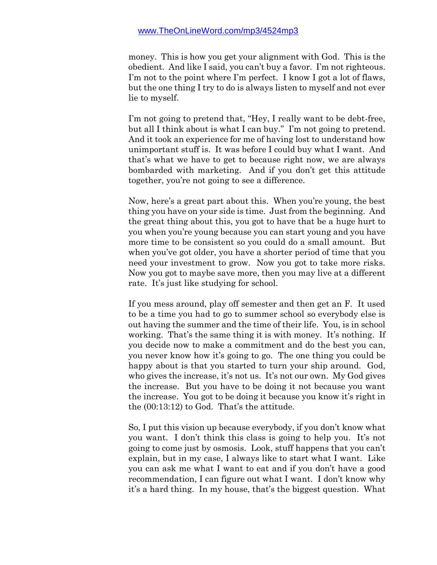money. This is how you get your alignment with God. This is the obedient. And like I said, you can't buy a favor. I'm not righteous. I'm not to the point where I'm perfect. I know I got a lot of flaws, but the one thing I try to do is always listen to myself and not ever lie to myself.

I'm not going to pretend that, "Hey, I really want to be debt-free, but all I think about is what I can buy." I'm not going to pretend. And it took an experience for me of having lost to understand how unimportant stuff is. It was before I could buy what I want. And that's what we have to get to because right now, we are always bombarded with marketing. And if you don't get this attitude together, you're not going to see a difference.

Now, here's a great part about this. When you're young, the best thing you have on your side is time. Just from the beginning. And the great thing about this, you got to have that be a huge hurt to you when you're young because you can start young and you have more time to be consistent so you could do a small amount. But when you've got older, you have a shorter period of time that you need your investment to grow. Now you got to take more risks. Now you got to maybe save more, then you may live at a different rate. It's just like studying for school.

If you mess around, play off semester and then get an F. It used to be a time you had to go to summer school so everybody else is out having the summer and the time of their life. You, is in school working. That's the same thing it is with money. It's nothing. If you decide now to make a commitment and do the best you can, you never know how it's going to go. The one thing you could be happy about is that you started to turn your ship around. God, who gives the increase, it's not us. It's not our own. My God gives the increase. But you have to be doing it not because you want the increase. You got to be doing it because you know it's right in the (00:13:12) to God. That's the attitude.

So, I put this vision up because everybody, if you don't know what you want. I don't think this class is going to help you. It's not going to come just by osmosis. Look, stuff happens that you can't explain, but in my case, I always like to start what I want. Like you can ask me what I want to eat and if you don't have a good recommendation, I can figure out what I want. I don't know why it's a hard thing. In my house, that's the biggest question. What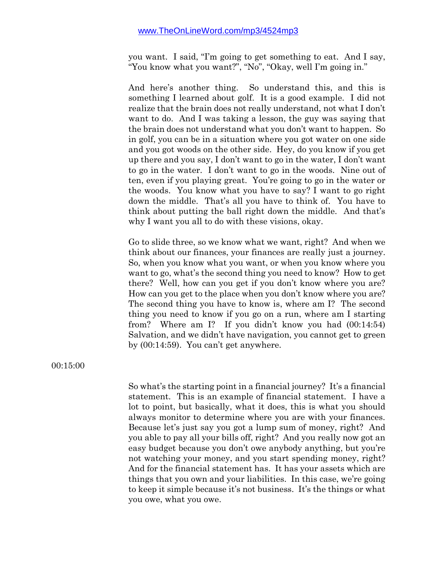you want. I said, "I'm going to get something to eat. And I say, "You know what you want?", "No", "Okay, well I'm going in."

And here's another thing. So understand this, and this is something I learned about golf. It is a good example. I did not realize that the brain does not really understand, not what I don't want to do. And I was taking a lesson, the guy was saying that the brain does not understand what you don't want to happen. So in golf, you can be in a situation where you got water on one side and you got woods on the other side. Hey, do you know if you get up there and you say, I don't want to go in the water, I don't want to go in the water. I don't want to go in the woods. Nine out of ten, even if you playing great. You're going to go in the water or the woods. You know what you have to say? I want to go right down the middle. That's all you have to think of. You have to think about putting the ball right down the middle. And that's why I want you all to do with these visions, okay.

Go to slide three, so we know what we want, right? And when we think about our finances, your finances are really just a journey. So, when you know what you want, or when you know where you want to go, what's the second thing you need to know? How to get there? Well, how can you get if you don't know where you are? How can you get to the place when you don't know where you are? The second thing you have to know is, where am I? The second thing you need to know if you go on a run, where am I starting from? Where am I? If you didn't know you had (00:14:54) Salvation, and we didn't have navigation, you cannot get to green by (00:14:59). You can't get anywhere.

00:15:00

So what's the starting point in a financial journey? It's a financial statement. This is an example of financial statement. I have a lot to point, but basically, what it does, this is what you should always monitor to determine where you are with your finances. Because let's just say you got a lump sum of money, right? And you able to pay all your bills off, right? And you really now got an easy budget because you don't owe anybody anything, but you're not watching your money, and you start spending money, right? And for the financial statement has. It has your assets which are things that you own and your liabilities. In this case, we're going to keep it simple because it's not business. It's the things or what you owe, what you owe.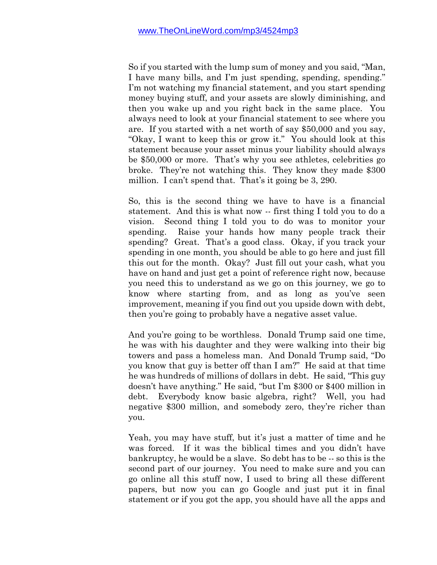So if you started with the lump sum of money and you said, "Man, I have many bills, and I'm just spending, spending, spending." I'm not watching my financial statement, and you start spending money buying stuff, and your assets are slowly diminishing, and then you wake up and you right back in the same place. You always need to look at your financial statement to see where you are. If you started with a net worth of say \$50,000 and you say, "Okay, I want to keep this or grow it." You should look at this statement because your asset minus your liability should always be \$50,000 or more. That's why you see athletes, celebrities go broke. They're not watching this. They know they made \$300 million. I can't spend that. That's it going be 3, 290.

So, this is the second thing we have to have is a financial statement. And this is what now -- first thing I told you to do a vision. Second thing I told you to do was to monitor your spending. Raise your hands how many people track their spending? Great. That's a good class. Okay, if you track your spending in one month, you should be able to go here and just fill this out for the month. Okay? Just fill out your cash, what you have on hand and just get a point of reference right now, because you need this to understand as we go on this journey, we go to know where starting from, and as long as you've seen improvement, meaning if you find out you upside down with debt, then you're going to probably have a negative asset value.

And you're going to be worthless. Donald Trump said one time, he was with his daughter and they were walking into their big towers and pass a homeless man. And Donald Trump said, "Do you know that guy is better off than I am?" He said at that time he was hundreds of millions of dollars in debt. He said, "This guy doesn't have anything." He said, "but I'm \$300 or \$400 million in debt. Everybody know basic algebra, right? Well, you had negative \$300 million, and somebody zero, they're richer than you.

Yeah, you may have stuff, but it's just a matter of time and he was forced. If it was the biblical times and you didn't have bankruptcy, he would be a slave. So debt has to be -- so this is the second part of our journey. You need to make sure and you can go online all this stuff now, I used to bring all these different papers, but now you can go Google and just put it in final statement or if you got the app, you should have all the apps and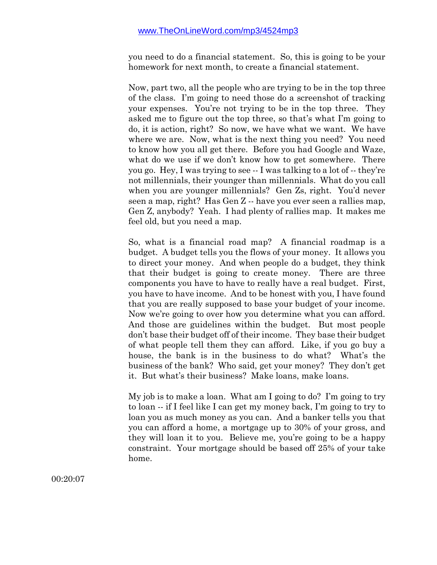you need to do a financial statement. So, this is going to be your homework for next month, to create a financial statement.

Now, part two, all the people who are trying to be in the top three of the class. I'm going to need those do a screenshot of tracking your expenses. You're not trying to be in the top three. They asked me to figure out the top three, so that's what I'm going to do, it is action, right? So now, we have what we want. We have where we are. Now, what is the next thing you need? You need to know how you all get there. Before you had Google and Waze, what do we use if we don't know how to get somewhere. There you go. Hey, I was trying to see -- I was talking to a lot of -- they're not millennials, their younger than millennials. What do you call when you are younger millennials? Gen Zs, right. You'd never seen a map, right? Has Gen Z -- have you ever seen a rallies map, Gen Z, anybody? Yeah. I had plenty of rallies map. It makes me feel old, but you need a map.

So, what is a financial road map? A financial roadmap is a budget. A budget tells you the flows of your money. It allows you to direct your money. And when people do a budget, they think that their budget is going to create money. There are three components you have to have to really have a real budget. First, you have to have income. And to be honest with you, I have found that you are really supposed to base your budget of your income. Now we're going to over how you determine what you can afford. And those are guidelines within the budget. But most people don't base their budget off of their income. They base their budget of what people tell them they can afford. Like, if you go buy a house, the bank is in the business to do what? What's the business of the bank? Who said, get your money? They don't get it. But what's their business? Make loans, make loans.

My job is to make a loan. What am I going to do? I'm going to try to loan -- if I feel like I can get my money back, I'm going to try to loan you as much money as you can. And a banker tells you that you can afford a home, a mortgage up to 30% of your gross, and they will loan it to you. Believe me, you're going to be a happy constraint. Your mortgage should be based off 25% of your take home.

00:20:07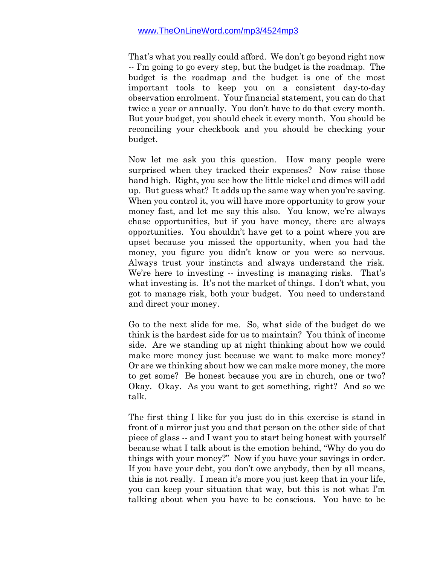That's what you really could afford. We don't go beyond right now -- I'm going to go every step, but the budget is the roadmap. The budget is the roadmap and the budget is one of the most important tools to keep you on a consistent day-to-day observation enrolment. Your financial statement, you can do that twice a year or annually. You don't have to do that every month. But your budget, you should check it every month. You should be reconciling your checkbook and you should be checking your budget.

Now let me ask you this question. How many people were surprised when they tracked their expenses? Now raise those hand high. Right, you see how the little nickel and dimes will add up. But guess what? It adds up the same way when you're saving. When you control it, you will have more opportunity to grow your money fast, and let me say this also. You know, we're always chase opportunities, but if you have money, there are always opportunities. You shouldn't have get to a point where you are upset because you missed the opportunity, when you had the money, you figure you didn't know or you were so nervous. Always trust your instincts and always understand the risk. We're here to investing -- investing is managing risks. That's what investing is. It's not the market of things. I don't what, you got to manage risk, both your budget. You need to understand and direct your money.

Go to the next slide for me. So, what side of the budget do we think is the hardest side for us to maintain? You think of income side. Are we standing up at night thinking about how we could make more money just because we want to make more money? Or are we thinking about how we can make more money, the more to get some? Be honest because you are in church, one or two? Okay. Okay. As you want to get something, right? And so we talk.

The first thing I like for you just do in this exercise is stand in front of a mirror just you and that person on the other side of that piece of glass -- and I want you to start being honest with yourself because what I talk about is the emotion behind, "Why do you do things with your money?" Now if you have your savings in order. If you have your debt, you don't owe anybody, then by all means, this is not really. I mean it's more you just keep that in your life, you can keep your situation that way, but this is not what I'm talking about when you have to be conscious. You have to be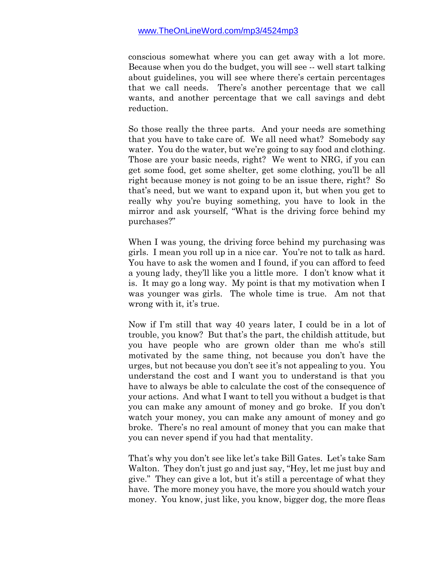conscious somewhat where you can get away with a lot more. Because when you do the budget, you will see -- well start talking about guidelines, you will see where there's certain percentages that we call needs. There's another percentage that we call wants, and another percentage that we call savings and debt reduction.

So those really the three parts. And your needs are something that you have to take care of. We all need what? Somebody say water. You do the water, but we're going to say food and clothing. Those are your basic needs, right? We went to NRG, if you can get some food, get some shelter, get some clothing, you'll be all right because money is not going to be an issue there, right? So that's need, but we want to expand upon it, but when you get to really why you're buying something, you have to look in the mirror and ask yourself, "What is the driving force behind my purchases?"

When I was young, the driving force behind my purchasing was girls. I mean you roll up in a nice car. You're not to talk as hard. You have to ask the women and I found, if you can afford to feed a young lady, they'll like you a little more. I don't know what it is. It may go a long way. My point is that my motivation when I was younger was girls. The whole time is true. Am not that wrong with it, it's true.

Now if I'm still that way 40 years later, I could be in a lot of trouble, you know? But that's the part, the childish attitude, but you have people who are grown older than me who's still motivated by the same thing, not because you don't have the urges, but not because you don't see it's not appealing to you. You understand the cost and I want you to understand is that you have to always be able to calculate the cost of the consequence of your actions. And what I want to tell you without a budget is that you can make any amount of money and go broke. If you don't watch your money, you can make any amount of money and go broke. There's no real amount of money that you can make that you can never spend if you had that mentality.

That's why you don't see like let's take Bill Gates. Let's take Sam Walton. They don't just go and just say, "Hey, let me just buy and give." They can give a lot, but it's still a percentage of what they have. The more money you have, the more you should watch your money. You know, just like, you know, bigger dog, the more fleas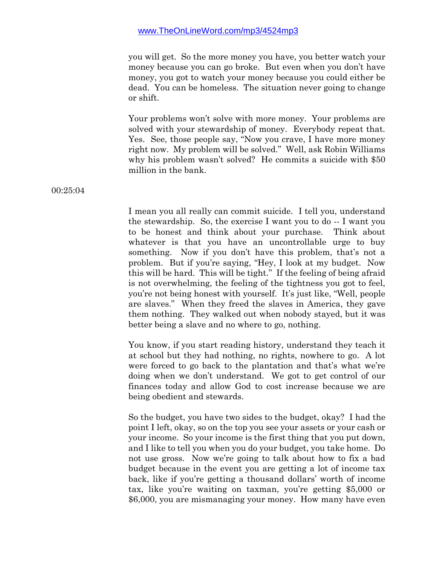you will get. So the more money you have, you better watch your money because you can go broke. But even when you don't have money, you got to watch your money because you could either be dead. You can be homeless. The situation never going to change or shift.

Your problems won't solve with more money. Your problems are solved with your stewardship of money. Everybody repeat that. Yes. See, those people say, "Now you crave, I have more money right now. My problem will be solved." Well, ask Robin Williams why his problem wasn't solved? He commits a suicide with \$50 million in the bank.

I mean you all really can commit suicide. I tell you, understand the stewardship. So, the exercise I want you to do -- I want you to be honest and think about your purchase. Think about whatever is that you have an uncontrollable urge to buy something. Now if you don't have this problem, that's not a problem. But if you're saying, "Hey, I look at my budget. Now this will be hard. This will be tight." If the feeling of being afraid is not overwhelming, the feeling of the tightness you got to feel, you're not being honest with yourself. It's just like, "Well, people are slaves." When they freed the slaves in America, they gave them nothing. They walked out when nobody stayed, but it was better being a slave and no where to go, nothing.

You know, if you start reading history, understand they teach it at school but they had nothing, no rights, nowhere to go. A lot were forced to go back to the plantation and that's what we're doing when we don't understand. We got to get control of our finances today and allow God to cost increase because we are being obedient and stewards.

So the budget, you have two sides to the budget, okay? I had the point I left, okay, so on the top you see your assets or your cash or your income. So your income is the first thing that you put down, and I like to tell you when you do your budget, you take home. Do not use gross. Now we're going to talk about how to fix a bad budget because in the event you are getting a lot of income tax back, like if you're getting a thousand dollars' worth of income tax, like you're waiting on taxman, you're getting \$5,000 or \$6,000, you are mismanaging your money. How many have even

00:25:04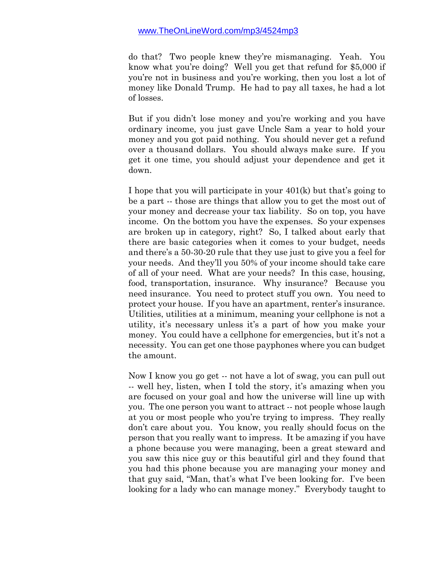do that? Two people knew they're mismanaging. Yeah. You know what you're doing? Well you get that refund for \$5,000 if you're not in business and you're working, then you lost a lot of money like Donald Trump. He had to pay all taxes, he had a lot of losses.

But if you didn't lose money and you're working and you have ordinary income, you just gave Uncle Sam a year to hold your money and you got paid nothing. You should never get a refund over a thousand dollars. You should always make sure. If you get it one time, you should adjust your dependence and get it down.

I hope that you will participate in your 401(k) but that's going to be a part -- those are things that allow you to get the most out of your money and decrease your tax liability. So on top, you have income. On the bottom you have the expenses. So your expenses are broken up in category, right? So, I talked about early that there are basic categories when it comes to your budget, needs and there's a 50-30-20 rule that they use just to give you a feel for your needs. And they'll you 50% of your income should take care of all of your need. What are your needs? In this case, housing, food, transportation, insurance. Why insurance? Because you need insurance. You need to protect stuff you own. You need to protect your house. If you have an apartment, renter's insurance. Utilities, utilities at a minimum, meaning your cellphone is not a utility, it's necessary unless it's a part of how you make your money. You could have a cellphone for emergencies, but it's not a necessity. You can get one those payphones where you can budget the amount.

Now I know you go get -- not have a lot of swag, you can pull out -- well hey, listen, when I told the story, it's amazing when you are focused on your goal and how the universe will line up with you. The one person you want to attract -- not people whose laugh at you or most people who you're trying to impress. They really don't care about you. You know, you really should focus on the person that you really want to impress. It be amazing if you have a phone because you were managing, been a great steward and you saw this nice guy or this beautiful girl and they found that you had this phone because you are managing your money and that guy said, "Man, that's what I've been looking for. I've been looking for a lady who can manage money." Everybody taught to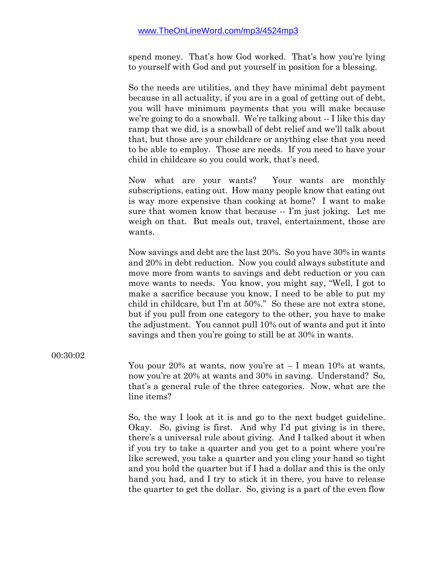spend money. That's how God worked. That's how you're lying to yourself with God and put yourself in position for a blessing.

So the needs are utilities, and they have minimal debt payment because in all actuality, if you are in a goal of getting out of debt, you will have minimum payments that you will make because we're going to do a snowball. We're talking about -- I like this day ramp that we did, is a snowball of debt relief and we'll talk about that, but those are your childcare or anything else that you need to be able to employ. Those are needs. If you need to have your child in childcare so you could work, that's need.

Now what are your wants? Your wants are monthly subscriptions, eating out. How many people know that eating out is way more expensive than cooking at home? I want to make sure that women know that because -- I'm just joking. Let me weigh on that. But meals out, travel, entertainment, those are wants.

Now savings and debt are the last 20%. So you have 30% in wants and 20% in debt reduction. Now you could always substitute and move more from wants to savings and debt reduction or you can move wants to needs. You know, you might say, "Well, I got to make a sacrifice because you know, I need to be able to put my child in childcare, but I'm at 50%." So these are not extra stone, but if you pull from one category to the other, you have to make the adjustment. You cannot pull 10% out of wants and put it into savings and then you're going to still be at 30% in wants.

00:30:02

You pour 20% at wants, now you're at  $-1$  mean 10% at wants, now you're at 20% at wants and 30% in saving. Understand? So, that's a general rule of the three categories. Now, what are the line items?

So, the way I look at it is and go to the next budget guideline. Okay. So, giving is first. And why I'd put giving is in there, there's a universal rule about giving. And I talked about it when if you try to take a quarter and you get to a point where you're like screwed, you take a quarter and you cling your hand so tight and you hold the quarter but if I had a dollar and this is the only hand you had, and I try to stick it in there, you have to release the quarter to get the dollar. So, giving is a part of the even flow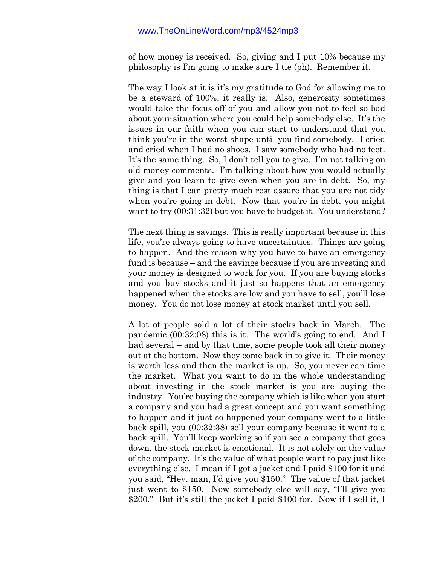of how money is received. So, giving and I put 10% because my philosophy is I'm going to make sure I tie (ph). Remember it.

The way I look at it is it's my gratitude to God for allowing me to be a steward of 100%, it really is. Also, generosity sometimes would take the focus off of you and allow you not to feel so bad about your situation where you could help somebody else. It's the issues in our faith when you can start to understand that you think you're in the worst shape until you find somebody. I cried and cried when I had no shoes. I saw somebody who had no feet. It's the same thing. So, I don't tell you to give. I'm not talking on old money comments. I'm talking about how you would actually give and you learn to give even when you are in debt. So, my thing is that I can pretty much rest assure that you are not tidy when you're going in debt. Now that you're in debt, you might want to try (00:31:32) but you have to budget it. You understand?

The next thing is savings. This is really important because in this life, you're always going to have uncertainties. Things are going to happen. And the reason why you have to have an emergency fund is because – and the savings because if you are investing and your money is designed to work for you. If you are buying stocks and you buy stocks and it just so happens that an emergency happened when the stocks are low and you have to sell, you'll lose money. You do not lose money at stock market until you sell.

A lot of people sold a lot of their stocks back in March. The pandemic (00:32:08) this is it. The world's going to end. And I had several – and by that time, some people took all their money out at the bottom. Now they come back in to give it. Their money is worth less and then the market is up. So, you never can time the market. What you want to do in the whole understanding about investing in the stock market is you are buying the industry. You're buying the company which is like when you start a company and you had a great concept and you want something to happen and it just so happened your company went to a little back spill, you (00:32:38) sell your company because it went to a back spill. You'll keep working so if you see a company that goes down, the stock market is emotional. It is not solely on the value of the company. It's the value of what people want to pay just like everything else. I mean if I got a jacket and I paid \$100 for it and you said, "Hey, man, I'd give you \$150." The value of that jacket just went to \$150. Now somebody else will say, "I'll give you \$200." But it's still the jacket I paid \$100 for. Now if I sell it, I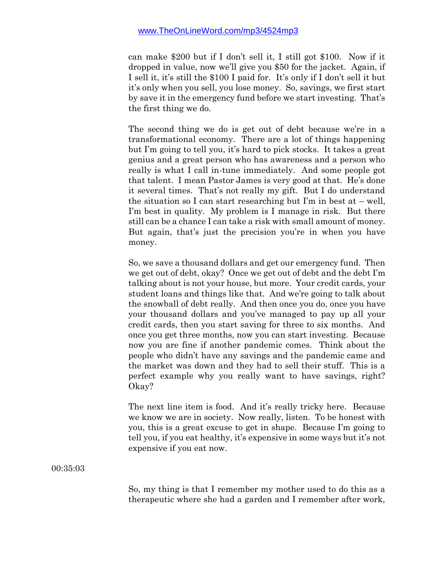can make \$200 but if I don't sell it, I still got \$100. Now if it dropped in value, now we'll give you \$50 for the jacket. Again, if I sell it, it's still the \$100 I paid for. It's only if I don't sell it but it's only when you sell, you lose money. So, savings, we first start by save it in the emergency fund before we start investing. That's the first thing we do.

The second thing we do is get out of debt because we're in a transformational economy. There are a lot of things happening but I'm going to tell you, it's hard to pick stocks. It takes a great genius and a great person who has awareness and a person who really is what I call in-tune immediately. And some people got that talent. I mean Pastor James is very good at that. He's done it several times. That's not really my gift. But I do understand the situation so I can start researching but I'm in best at – well, I'm best in quality. My problem is I manage in risk. But there still can be a chance I can take a risk with small amount of money. But again, that's just the precision you're in when you have money.

So, we save a thousand dollars and get our emergency fund. Then we get out of debt, okay? Once we get out of debt and the debt I'm talking about is not your house, but more. Your credit cards, your student loans and things like that. And we're going to talk about the snowball of debt really. And then once you do, once you have your thousand dollars and you've managed to pay up all your credit cards, then you start saving for three to six months. And once you get three months, now you can start investing. Because now you are fine if another pandemic comes. Think about the people who didn't have any savings and the pandemic came and the market was down and they had to sell their stuff. This is a perfect example why you really want to have savings, right? Okay?

The next line item is food. And it's really tricky here. Because we know we are in society. Now really, listen. To be honest with you, this is a great excuse to get in shape. Because I'm going to tell you, if you eat healthy, it's expensive in some ways but it's not expensive if you eat now.

00:35:03

So, my thing is that I remember my mother used to do this as a therapeutic where she had a garden and I remember after work,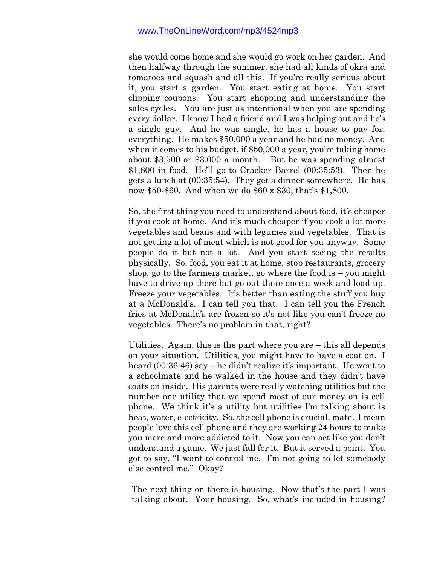she would come home and she would go work on her garden. And then halfway through the summer, she had all kinds of okra and tomatoes and squash and all this. If you're really serious about it, you start a garden. You start eating at home. You start clipping coupons. You start shopping and understanding the sales cycles. You are just as intentional when you are spending every dollar. I know I had a friend and I was helping out and he's a single guy. And he was single, he has a house to pay for, everything. He makes \$50,000 a year and he had no money. And when it comes to his budget, if \$50,000 a year, you're taking home about \$3,500 or \$3,000 a month. But he was spending almost \$1,800 in food. He'll go to Cracker Barrel (00:35:53). Then he gets a lunch at (00:35:54). They get a dinner somewhere. He has now \$50-\$60. And when we do \$60 x \$30, that's \$1,800.

So, the first thing you need to understand about food, it's cheaper if you cook at home. And it's much cheaper if you cook a lot more vegetables and beans and with legumes and vegetables. That is not getting a lot of meat which is not good for you anyway. Some people do it but not a lot. And you start seeing the results physically. So, food, you eat it at home, stop restaurants, grocery shop, go to the farmers market, go where the food is  $-$  you might have to drive up there but go out there once a week and load up. Freeze your vegetables. It's better than eating the stuff you buy at a McDonald's. I can tell you that. I can tell you the French fries at McDonald's are frozen so it's not like you can't freeze no vegetables. There's no problem in that, right?

Utilities. Again, this is the part where you are – this all depends on your situation. Utilities, you might have to have a coat on. I heard (00:36:46) say – he didn't realize it's important. He went to a schoolmate and he walked in the house and they didn't have coats on inside. His parents were really watching utilities but the number one utility that we spend most of our money on is cell phone. We think it's a utility but utilities I'm talking about is heat, water, electricity. So, the cell phone is crucial, mate. I mean people love this cell phone and they are working 24 hours to make you more and more addicted to it. Now you can act like you don't understand a game. We just fall for it. But it served a point. You got to say, "I want to control me. I'm not going to let somebody else control me." Okay?

The next thing on there is housing. Now that's the part I was talking about. Your housing. So, what's included in housing?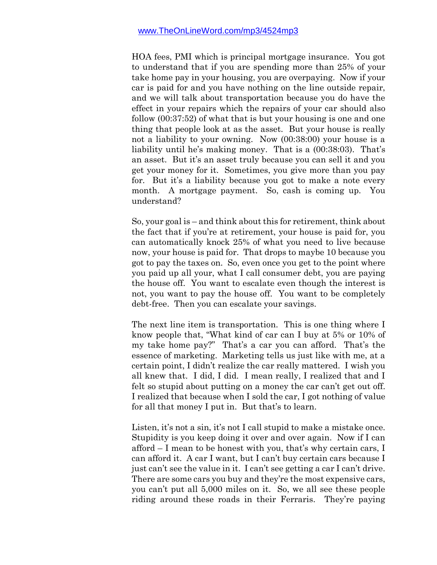HOA fees, PMI which is principal mortgage insurance. You got to understand that if you are spending more than 25% of your take home pay in your housing, you are overpaying. Now if your car is paid for and you have nothing on the line outside repair, and we will talk about transportation because you do have the effect in your repairs which the repairs of your car should also follow (00:37:52) of what that is but your housing is one and one thing that people look at as the asset. But your house is really not a liability to your owning. Now (00:38:00) your house is a liability until he's making money. That is a (00:38:03). That's an asset. But it's an asset truly because you can sell it and you get your money for it. Sometimes, you give more than you pay for. But it's a liability because you got to make a note every month. A mortgage payment. So, cash is coming up. You understand?

So, your goal is – and think about this for retirement, think about the fact that if you're at retirement, your house is paid for, you can automatically knock 25% of what you need to live because now, your house is paid for. That drops to maybe 10 because you got to pay the taxes on. So, even once you get to the point where you paid up all your, what I call consumer debt, you are paying the house off. You want to escalate even though the interest is not, you want to pay the house off. You want to be completely debt-free. Then you can escalate your savings.

The next line item is transportation. This is one thing where I know people that, "What kind of car can I buy at 5% or 10% of my take home pay?" That's a car you can afford. That's the essence of marketing. Marketing tells us just like with me, at a certain point, I didn't realize the car really mattered. I wish you all knew that. I did, I did. I mean really, I realized that and I felt so stupid about putting on a money the car can't get out off. I realized that because when I sold the car, I got nothing of value for all that money I put in. But that's to learn.

Listen, it's not a sin, it's not I call stupid to make a mistake once. Stupidity is you keep doing it over and over again. Now if I can afford – I mean to be honest with you, that's why certain cars, I can afford it. A car I want, but I can't buy certain cars because I just can't see the value in it. I can't see getting a car I can't drive. There are some cars you buy and they're the most expensive cars, you can't put all 5,000 miles on it. So, we all see these people riding around these roads in their Ferraris. They're paying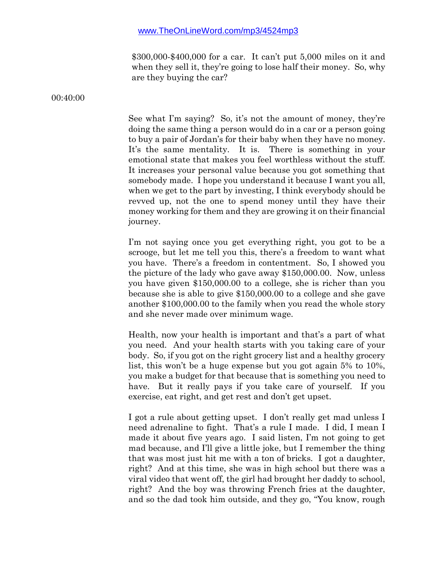\$300,000-\$400,000 for a car. It can't put 5,000 miles on it and when they sell it, they're going to lose half their money. So, why are they buying the car?

00:40:00

See what I'm saying? So, it's not the amount of money, they're doing the same thing a person would do in a car or a person going to buy a pair of Jordan's for their baby when they have no money. It's the same mentality. It is. There is something in your emotional state that makes you feel worthless without the stuff. It increases your personal value because you got something that somebody made. I hope you understand it because I want you all, when we get to the part by investing, I think everybody should be revved up, not the one to spend money until they have their money working for them and they are growing it on their financial journey.

I'm not saying once you get everything right, you got to be a scrooge, but let me tell you this, there's a freedom to want what you have. There's a freedom in contentment. So, I showed you the picture of the lady who gave away \$150,000.00. Now, unless you have given \$150,000.00 to a college, she is richer than you because she is able to give \$150,000.00 to a college and she gave another \$100,000.00 to the family when you read the whole story and she never made over minimum wage.

Health, now your health is important and that's a part of what you need. And your health starts with you taking care of your body. So, if you got on the right grocery list and a healthy grocery list, this won't be a huge expense but you got again 5% to 10%, you make a budget for that because that is something you need to have. But it really pays if you take care of yourself. If you exercise, eat right, and get rest and don't get upset.

I got a rule about getting upset. I don't really get mad unless I need adrenaline to fight. That's a rule I made. I did, I mean I made it about five years ago. I said listen, I'm not going to get mad because, and I'll give a little joke, but I remember the thing that was most just hit me with a ton of bricks. I got a daughter, right? And at this time, she was in high school but there was a viral video that went off, the girl had brought her daddy to school, right? And the boy was throwing French fries at the daughter, and so the dad took him outside, and they go, "You know, rough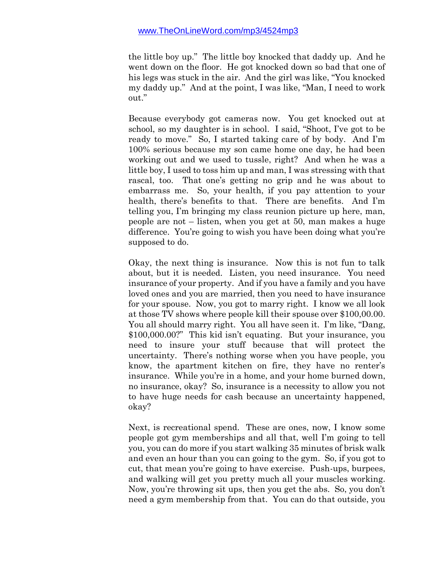the little boy up." The little boy knocked that daddy up. And he went down on the floor. He got knocked down so bad that one of his legs was stuck in the air. And the girl was like, "You knocked my daddy up." And at the point, I was like, "Man, I need to work out."

Because everybody got cameras now. You get knocked out at school, so my daughter is in school. I said, "Shoot, I've got to be ready to move." So, I started taking care of by body. And I'm 100% serious because my son came home one day, he had been working out and we used to tussle, right? And when he was a little boy, I used to toss him up and man, I was stressing with that rascal, too. That one's getting no grip and he was about to embarrass me. So, your health, if you pay attention to your health, there's benefits to that. There are benefits. And I'm telling you, I'm bringing my class reunion picture up here, man, people are not – listen, when you get at 50, man makes a huge difference. You're going to wish you have been doing what you're supposed to do.

Okay, the next thing is insurance. Now this is not fun to talk about, but it is needed. Listen, you need insurance. You need insurance of your property. And if you have a family and you have loved ones and you are married, then you need to have insurance for your spouse. Now, you got to marry right. I know we all look at those TV shows where people kill their spouse over \$100,00.00. You all should marry right. You all have seen it. I'm like, "Dang, \$100,000.00?" This kid isn't equating. But your insurance, you need to insure your stuff because that will protect the uncertainty. There's nothing worse when you have people, you know, the apartment kitchen on fire, they have no renter's insurance. While you're in a home, and your home burned down, no insurance, okay? So, insurance is a necessity to allow you not to have huge needs for cash because an uncertainty happened, okay?

Next, is recreational spend. These are ones, now, I know some people got gym memberships and all that, well I'm going to tell you, you can do more if you start walking 35 minutes of brisk walk and even an hour than you can going to the gym. So, if you got to cut, that mean you're going to have exercise. Push-ups, burpees, and walking will get you pretty much all your muscles working. Now, you're throwing sit ups, then you get the abs. So, you don't need a gym membership from that. You can do that outside, you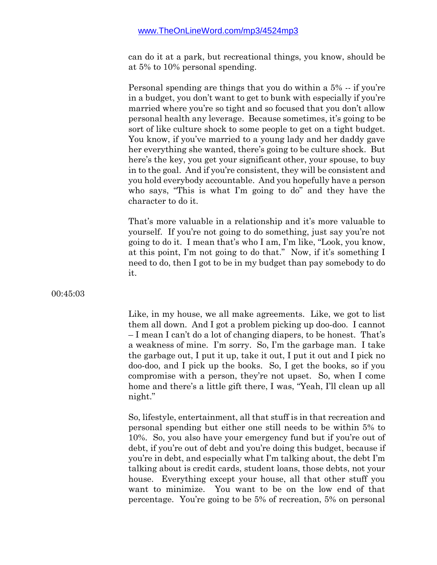can do it at a park, but recreational things, you know, should be at 5% to 10% personal spending.

Personal spending are things that you do within a 5% -- if you're in a budget, you don't want to get to bunk with especially if you're married where you're so tight and so focused that you don't allow personal health any leverage. Because sometimes, it's going to be sort of like culture shock to some people to get on a tight budget. You know, if you've married to a young lady and her daddy gave her everything she wanted, there's going to be culture shock. But here's the key, you get your significant other, your spouse, to buy in to the goal. And if you're consistent, they will be consistent and you hold everybody accountable. And you hopefully have a person who says, "This is what I'm going to do" and they have the character to do it.

That's more valuable in a relationship and it's more valuable to yourself. If you're not going to do something, just say you're not going to do it. I mean that's who I am, I'm like, "Look, you know, at this point, I'm not going to do that." Now, if it's something I need to do, then I got to be in my budget than pay somebody to do it.

00:45:03

Like, in my house, we all make agreements. Like, we got to list them all down. And I got a problem picking up doo-doo. I cannot – I mean I can't do a lot of changing diapers, to be honest. That's a weakness of mine. I'm sorry. So, I'm the garbage man. I take the garbage out, I put it up, take it out, I put it out and I pick no doo-doo, and I pick up the books. So, I get the books, so if you compromise with a person, they're not upset. So, when I come home and there's a little gift there, I was, "Yeah, I'll clean up all night."

So, lifestyle, entertainment, all that stuff is in that recreation and personal spending but either one still needs to be within 5% to 10%. So, you also have your emergency fund but if you're out of debt, if you're out of debt and you're doing this budget, because if you're in debt, and especially what I'm talking about, the debt I'm talking about is credit cards, student loans, those debts, not your house. Everything except your house, all that other stuff you want to minimize. You want to be on the low end of that percentage. You're going to be 5% of recreation, 5% on personal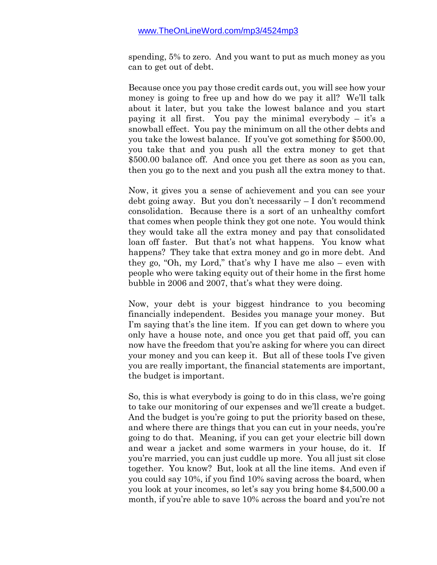spending, 5% to zero. And you want to put as much money as you can to get out of debt.

Because once you pay those credit cards out, you will see how your money is going to free up and how do we pay it all? We'll talk about it later, but you take the lowest balance and you start paying it all first. You pay the minimal everybody  $-$  it's a snowball effect. You pay the minimum on all the other debts and you take the lowest balance. If you've got something for \$500.00, you take that and you push all the extra money to get that \$500.00 balance off. And once you get there as soon as you can, then you go to the next and you push all the extra money to that.

Now, it gives you a sense of achievement and you can see your debt going away. But you don't necessarily – I don't recommend consolidation. Because there is a sort of an unhealthy comfort that comes when people think they got one note. You would think they would take all the extra money and pay that consolidated loan off faster. But that's not what happens. You know what happens? They take that extra money and go in more debt. And they go, "Oh, my Lord," that's why I have me also – even with people who were taking equity out of their home in the first home bubble in 2006 and 2007, that's what they were doing.

Now, your debt is your biggest hindrance to you becoming financially independent. Besides you manage your money. But I'm saying that's the line item. If you can get down to where you only have a house note, and once you get that paid off, you can now have the freedom that you're asking for where you can direct your money and you can keep it. But all of these tools I've given you are really important, the financial statements are important, the budget is important.

So, this is what everybody is going to do in this class, we're going to take our monitoring of our expenses and we'll create a budget. And the budget is you're going to put the priority based on these, and where there are things that you can cut in your needs, you're going to do that. Meaning, if you can get your electric bill down and wear a jacket and some warmers in your house, do it. If you're married, you can just cuddle up more. You all just sit close together. You know? But, look at all the line items. And even if you could say 10%, if you find 10% saving across the board, when you look at your incomes, so let's say you bring home \$4,500.00 a month, if you're able to save 10% across the board and you're not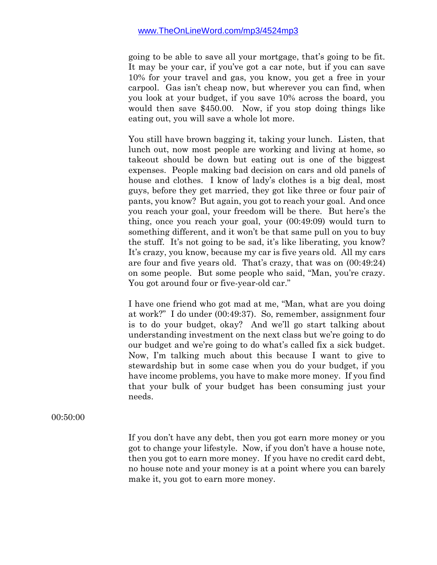going to be able to save all your mortgage, that's going to be fit. It may be your car, if you've got a car note, but if you can save 10% for your travel and gas, you know, you get a free in your carpool. Gas isn't cheap now, but wherever you can find, when you look at your budget, if you save 10% across the board, you would then save \$450.00. Now, if you stop doing things like eating out, you will save a whole lot more.

You still have brown bagging it, taking your lunch. Listen, that lunch out, now most people are working and living at home, so takeout should be down but eating out is one of the biggest expenses. People making bad decision on cars and old panels of house and clothes. I know of lady's clothes is a big deal, most guys, before they get married, they got like three or four pair of pants, you know? But again, you got to reach your goal. And once you reach your goal, your freedom will be there. But here's the thing, once you reach your goal, your (00:49:09) would turn to something different, and it won't be that same pull on you to buy the stuff. It's not going to be sad, it's like liberating, you know? It's crazy, you know, because my car is five years old. All my cars are four and five years old. That's crazy, that was on (00:49:24) on some people. But some people who said, "Man, you're crazy. You got around four or five-year-old car."

I have one friend who got mad at me, "Man, what are you doing at work?" I do under (00:49:37). So, remember, assignment four is to do your budget, okay? And we'll go start talking about understanding investment on the next class but we're going to do our budget and we're going to do what's called fix a sick budget. Now, I'm talking much about this because I want to give to stewardship but in some case when you do your budget, if you have income problems, you have to make more money. If you find that your bulk of your budget has been consuming just your needs.

00:50:00

If you don't have any debt, then you got earn more money or you got to change your lifestyle. Now, if you don't have a house note, then you got to earn more money. If you have no credit card debt, no house note and your money is at a point where you can barely make it, you got to earn more money.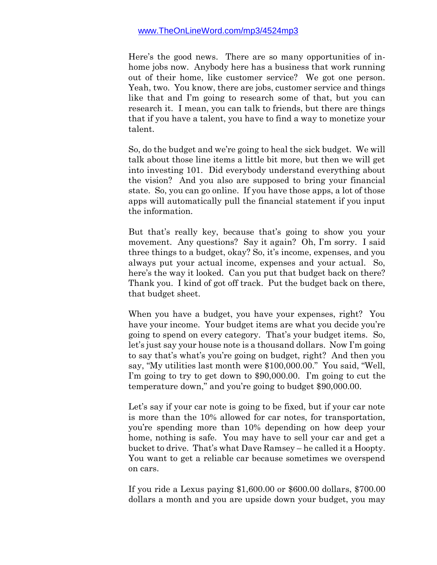Here's the good news. There are so many opportunities of inhome jobs now. Anybody here has a business that work running out of their home, like customer service? We got one person. Yeah, two. You know, there are jobs, customer service and things like that and I'm going to research some of that, but you can research it. I mean, you can talk to friends, but there are things that if you have a talent, you have to find a way to monetize your talent.

So, do the budget and we're going to heal the sick budget. We will talk about those line items a little bit more, but then we will get into investing 101. Did everybody understand everything about the vision? And you also are supposed to bring your financial state. So, you can go online. If you have those apps, a lot of those apps will automatically pull the financial statement if you input the information.

But that's really key, because that's going to show you your movement. Any questions? Say it again? Oh, I'm sorry. I said three things to a budget, okay? So, it's income, expenses, and you always put your actual income, expenses and your actual. So, here's the way it looked. Can you put that budget back on there? Thank you. I kind of got off track. Put the budget back on there, that budget sheet.

When you have a budget, you have your expenses, right? You have your income. Your budget items are what you decide you're going to spend on every category. That's your budget items. So, let's just say your house note is a thousand dollars. Now I'm going to say that's what's you're going on budget, right? And then you say, "My utilities last month were \$100,000.00." You said, "Well, I'm going to try to get down to \$90,000.00. I'm going to cut the temperature down," and you're going to budget \$90,000.00.

Let's say if your car note is going to be fixed, but if your car note is more than the 10% allowed for car notes, for transportation, you're spending more than 10% depending on how deep your home, nothing is safe. You may have to sell your car and get a bucket to drive. That's what Dave Ramsey – he called it a Hoopty. You want to get a reliable car because sometimes we overspend on cars.

If you ride a Lexus paying \$1,600.00 or \$600.00 dollars, \$700.00 dollars a month and you are upside down your budget, you may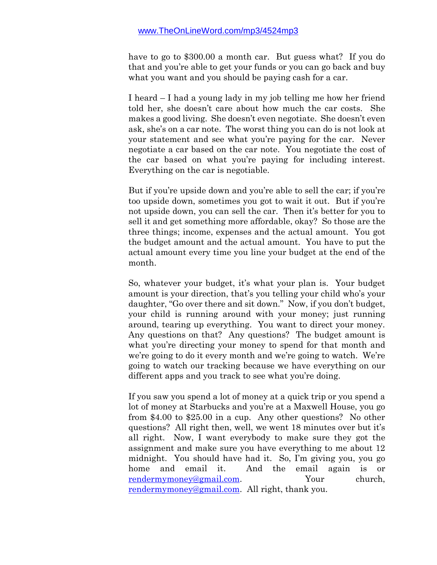have to go to \$300.00 a month car. But guess what? If you do that and you're able to get your funds or you can go back and buy what you want and you should be paying cash for a car.

I heard – I had a young lady in my job telling me how her friend told her, she doesn't care about how much the car costs. She makes a good living. She doesn't even negotiate. She doesn't even ask, she's on a car note. The worst thing you can do is not look at your statement and see what you're paying for the car. Never negotiate a car based on the car note. You negotiate the cost of the car based on what you're paying for including interest. Everything on the car is negotiable.

But if you're upside down and you're able to sell the car; if you're too upside down, sometimes you got to wait it out. But if you're not upside down, you can sell the car. Then it's better for you to sell it and get something more affordable, okay? So those are the three things; income, expenses and the actual amount. You got the budget amount and the actual amount. You have to put the actual amount every time you line your budget at the end of the month.

So, whatever your budget, it's what your plan is. Your budget amount is your direction, that's you telling your child who's your daughter, "Go over there and sit down." Now, if you don't budget, your child is running around with your money; just running around, tearing up everything. You want to direct your money. Any questions on that? Any questions? The budget amount is what you're directing your money to spend for that month and we're going to do it every month and we're going to watch. We're going to watch our tracking because we have everything on our different apps and you track to see what you're doing.

If you saw you spend a lot of money at a quick trip or you spend a lot of money at Starbucks and you're at a Maxwell House, you go from \$4.00 to \$25.00 in a cup. Any other questions? No other questions? All right then, well, we went 18 minutes over but it's all right. Now, I want everybody to make sure they got the assignment and make sure you have everything to me about 12 midnight. You should have had it. So, I'm giving you, you go home and email it. And the email again is or [rendermymoney@gmail.com.](mailto:rendermymoney@gmail.com) Your church, [rendermymoney@gmail.com.](mailto:rendermymoney@gmail.com) All right, thank you.